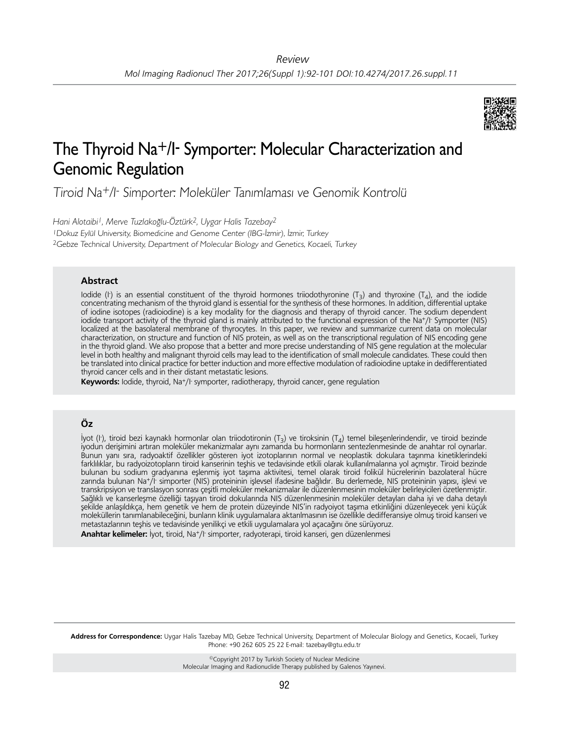

# The Thyroid Na+/I- Symporter: Molecular Characterization and Genomic Regulation

Tiroid Na<sup>+</sup>/I- Simporter: Moleküler Tanımlaması ve Genomik Kontrolü

*Hani Alotaibi1, Merve Tuzlakoğlu-Öztürk2, Uygar Halis Tazebay2* <sup>1</sup>Dokuz Eylül University, Biomedicine and Genome Center (IBG-İzmir), İzmir, Turkey <sup>2</sup>Gebze Technical University, Department of Molecular Biology and Genetics, Kocaeli, Turkey

#### **Abstract**

Iodide (I) is an essential constituent of the thyroid hormones triiodothyronine  $(T_3)$  and thyroxine  $(T_4)$ , and the iodide concentrating mechanism of the thyroid gland is essential for the synthesis of these hormones. In addition, differential uptake of iodine isotopes (radioiodine) is a key modality for the diagnosis and therapy of thyroid cancer. The sodium dependent iodide transport activity of the thyroid gland is mainly attributed to the functional expression of the Na+/I- Symporter (NIS) localized at the basolateral membrane of thyrocytes. In this paper, we review and summarize current data on molecular characterization, on structure and function of NIS protein, as well as on the transcriptional regulation of NIS encoding gene in the thyroid gland. We also propose that a better and more precise understanding of NIS gene regulation at the molecular level in both healthy and malignant thyroid cells may lead to the identification of small molecule candidates. These could then be translated into clinical practice for better induction and more effective modulation of radioiodine uptake in dedifferentiated thyroid cancer cells and in their distant metastatic lesions.

Keywords: lodide, thyroid, Na<sup>+</sup>/l symporter, radiotherapy, thyroid cancer, gene regulation

# **Öz**

İyot (I- ), tiroid bezi kaynaklı hormonlar olan triiodotironin (T3) ve tiroksinin (T4) temel bileşenlerindendir, ve tiroid bezinde iyodun derişimini artıran moleküler mekanizmalar aynı zamanda bu hormonların sentezlenmesinde de anahtar rol oynarlar. Bunun yanı sıra, radyoaktif özellikler gösteren iyot izotoplarının normal ve neoplastik dokulara taşınma kinetiklerindeki farklılıklar, bu radyoizotopların tiroid kanserinin teşhis ve tedavisinde etkili olarak kullanılmalarına yol açmıştır. Tiroid bezinde bulunan bu sodium gradyanına eşlenmiş iyot taşıma aktivitesi, temel olarak tiroid folikül hücrelerinin bazolateral hücre zarında bulunan Na+/I· simporter (NIS) proteininin işlevsel ifadesine bağlıdır. Bu derlemede, NIS proteininin yapısı, işlevi ve transkripsiyon ve translasyon sonrası çeşitli moleküler mekanizmalar ile düzenlenmesinin moleküler belirleyicileri özetlenmiştir. Sağlıklı ve kanserleşme özelliği taşıyan tiroid dokularında NIS düzenlenmesinin moleküler detayları daha iyi ve daha detaylı şekilde anlaşıldıkça, hem genetik ve hem de protein düzeyinde NIS'in radyoiyot taşıma etkinliğini düzenleyecek yeni küçük moleküllerin tanımlanabileceğini, bunların klinik uygulamalara aktarılmasının ise özellikle dedifferansiye olmuş tiroid kanseri ve metastazlarının teşhis ve tedavisinde yenilikçi ve etkili uygulamalara yol açacağını öne sürüyoruz. Anahtar kelimeler: İyot, tiroid, Na<sup>+</sup>/I<sup>-</sup> simporter, radyoterapi, tiroid kanseri, gen düzenlenmesi

**Address for Correspondence:** Uygar Halis Tazebay MD, Gebze Technical University, Department of Molecular Biology and Genetics, Kocaeli, Turkey Phone: +90 262 605 25 22 E-mail: tazebay@gtu.edu.tr

> ©Copyright 2017 by Turkish Society of Nuclear Medicine Molecular Imaging and Radionuclide Therapy published by Galenos Yayınevi.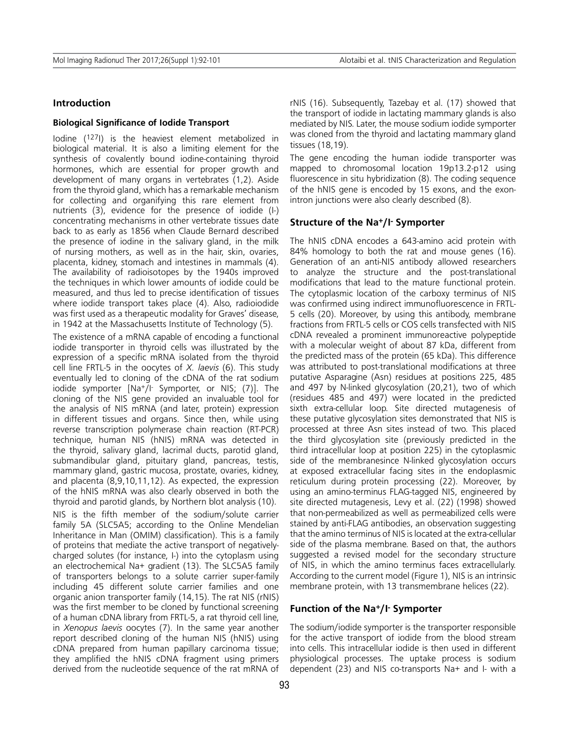#### **Introduction**

#### **Biological Significance of Iodide Transport**

Iodine (127I) is the heaviest element metabolized in biological material. It is also a limiting element for the synthesis of covalently bound iodine-containing thyroid hormones, which are essential for proper growth and development of many organs in vertebrates (1,2). Aside from the thyroid gland, which has a remarkable mechanism for collecting and organifying this rare element from nutrients (3), evidence for the presence of iodide (I-) concentrating mechanisms in other vertebrate tissues date back to as early as 1856 when Claude Bernard described the presence of iodine in the salivary gland, in the milk of nursing mothers, as well as in the hair, skin, ovaries, placenta, kidney, stomach and intestines in mammals (4). The availability of radioisotopes by the 1940s improved the techniques in which lower amounts of iodide could be measured, and thus led to precise identification of tissues where iodide transport takes place (4). Also, radioiodide was first used as a therapeutic modality for Graves' disease, in 1942 at the Massachusetts Institute of Technology (5).

The existence of a mRNA capable of encoding a functional iodide transporter in thyroid cells was illustrated by the expression of a specific mRNA isolated from the thyroid cell line FRTL-5 in the oocytes of *X. laevis* (6). This study eventually led to cloning of the cDNA of the rat sodium iodide symporter [Na<sup>+</sup>/l<sup>-</sup> Symporter, or NIS; (7)]. The cloning of the NIS gene provided an invaluable tool for the analysis of NIS mRNA (and later, protein) expression in different tissues and organs. Since then, while using reverse transcription polymerase chain reaction (RT-PCR) technique, human NIS (hNIS) mRNA was detected in the thyroid, salivary gland, lacrimal ducts, parotid gland, submandibular gland, pituitary gland, pancreas, testis, mammary gland, gastric mucosa, prostate, ovaries, kidney, and placenta (8,9,10,11,12). As expected, the expression of the hNIS mRNA was also clearly observed in both the thyroid and parotid glands, by Northern blot analysis (10).

NIS is the fifth member of the sodium/solute carrier family 5A (SLC5A5; according to the Online Mendelian Inheritance in Man (OMIM) classification). This is a family of proteins that mediate the active transport of negativelycharged solutes (for instance, I-) into the cytoplasm using an electrochemical Na+ gradient (13). The SLC5A5 family of transporters belongs to a solute carrier super-family including 45 different solute carrier families and one organic anion transporter family (14,15). The rat NIS (rNIS) was the first member to be cloned by functional screening of a human cDNA library from FRTL-5, a rat thyroid cell line, in *Xenopus laevis* oocytes (7). In the same year another report described cloning of the human NIS (hNIS) using cDNA prepared from human papillary carcinoma tissue; they amplified the hNIS cDNA fragment using primers derived from the nucleotide sequence of the rat mRNA of rNIS (16). Subsequently, Tazebay et al. (17) showed that the transport of iodide in lactating mammary glands is also mediated by NIS. Later, the mouse sodium iodide symporter was cloned from the thyroid and lactating mammary gland tissues (18,19).

The gene encoding the human iodide transporter was mapped to chromosomal location 19p13.2-p12 using fluorescence in situ hybridization (8). The coding sequence of the hNIS gene is encoded by 15 exons, and the exonintron junctions were also clearly described (8).

#### **Structure of the Na+/I- Symporter**

The hNIS cDNA encodes a 643-amino acid protein with 84% homology to both the rat and mouse genes (16). Generation of an anti-NIS antibody allowed researchers to analyze the structure and the post-translational modifications that lead to the mature functional protein. The cytoplasmic location of the carboxy terminus of NIS was confirmed using indirect immunofluorescence in FRTL-5 cells (20). Moreover, by using this antibody, membrane fractions from FRTL-5 cells or COS cells transfected with NIS cDNA revealed a prominent immunoreactive polypeptide with a molecular weight of about 87 kDa, different from the predicted mass of the protein (65 kDa). This difference was attributed to post-translational modifications at three putative Asparagine (Asn) residues at positions 225, 485 and 497 by N-linked glycosylation (20,21), two of which (residues 485 and 497) were located in the predicted sixth extra-cellular loop. Site directed mutagenesis of these putative glycosylation sites demonstrated that NIS is processed at three Asn sites instead of two. This placed the third glycosylation site (previously predicted in the third intracellular loop at position 225) in the cytoplasmic side of the membranesince N-linked glycosylation occurs at exposed extracellular facing sites in the endoplasmic reticulum during protein processing (22). Moreover, by using an amino-terminus FLAG-tagged NIS, engineered by site directed mutagenesis, Levy et al. (22) (1998) showed that non-permeabilized as well as permeabilized cells were stained by anti-FLAG antibodies, an observation suggesting that the amino terminus of NIS is located at the extra-cellular side of the plasma membrane. Based on that, the authors suggested a revised model for the secondary structure of NIS, in which the amino terminus faces extracellularly. According to the current model (Figure 1), NIS is an intrinsic membrane protein, with 13 transmembrane helices (22).

#### **Function of the Na+/I- Symporter**

The sodium/iodide symporter is the transporter responsible for the active transport of iodide from the blood stream into cells. This intracellular iodide is then used in different physiological processes. The uptake process is sodium dependent (23) and NIS co-transports Na+ and I- with a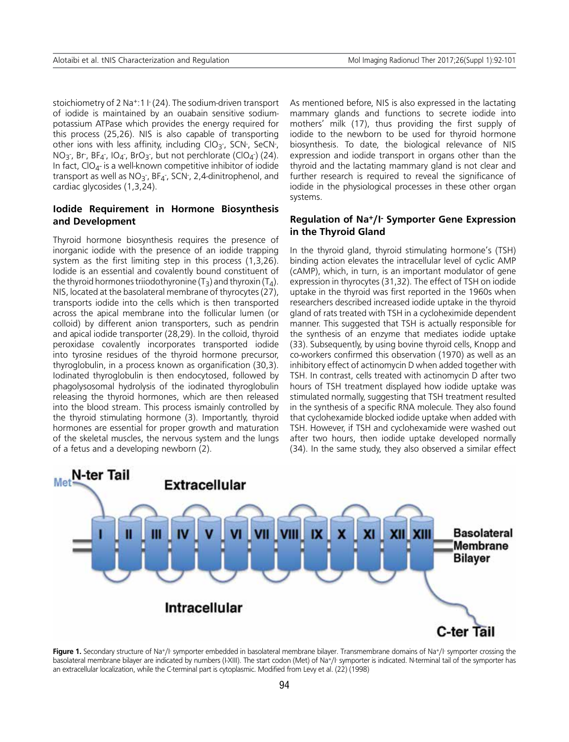stoichiometry of 2 Na<sup>+</sup>:1 l<sup>-</sup> (24). The sodium-driven transport of iodide is maintained by an ouabain sensitive sodiumpotassium ATPase which provides the energy required for this process (25,26). NIS is also capable of transporting other ions with less affinity, including CIO<sub>3</sub>-, SCN-, SeCN-,  $NO<sub>3</sub>$ , Br, BF<sub>4</sub>, IO<sub>4</sub>, BrO<sub>3</sub>, but not perchlorate (ClO<sub>4</sub>) (24). In fact,  $CIO_{4}$ - is a well-known competitive inhibitor of iodide transport as well as NO<sub>3</sub><sup>-</sup>, BF<sub>4</sub><sup>-</sup>, SCN<sup>-</sup>, 2,4-dinitrophenol, and cardiac glycosides (1,3,24).

# **Iodide Requirement in Hormone Biosynthesis and Development**

Thyroid hormone biosynthesis requires the presence of inorganic iodide with the presence of an iodide trapping system as the first limiting step in this process (1,3,26). Iodide is an essential and covalently bound constituent of the thyroid hormones triiodothyronine  $(T_3)$  and thyroxin  $(T_4)$ . NIS, located at the basolateral membrane of thyrocytes (27), transports iodide into the cells which is then transported across the apical membrane into the follicular lumen (or colloid) by different anion transporters, such as pendrin and apical iodide transporter (28,29). In the colloid, thyroid peroxidase covalently incorporates transported iodide into tyrosine residues of the thyroid hormone precursor, thyroglobulin, in a process known as organification (30,3). Iodinated thyroglobulin is then endocytosed, followed by phagolysosomal hydrolysis of the iodinated thyroglobulin releasing the thyroid hormones, which are then released into the blood stream. This process ismainly controlled by the thyroid stimulating hormone (3). Importantly, thyroid hormones are essential for proper growth and maturation of the skeletal muscles, the nervous system and the lungs of a fetus and a developing newborn (2).

As mentioned before, NIS is also expressed in the lactating mammary glands and functions to secrete iodide into mothers' milk (17), thus providing the first supply of iodide to the newborn to be used for thyroid hormone biosynthesis. To date, the biological relevance of NIS expression and iodide transport in organs other than the thyroid and the lactating mammary gland is not clear and further research is required to reveal the significance of iodide in the physiological processes in these other organ systems.

## **Regulation of Na+/I- Symporter Gene Expression in the Thyroid Gland**

In the thyroid gland, thyroid stimulating hormone's (TSH) binding action elevates the intracellular level of cyclic AMP (cAMP), which, in turn, is an important modulator of gene expression in thyrocytes (31,32). The effect of TSH on iodide uptake in the thyroid was first reported in the 1960s when researchers described increased iodide uptake in the thyroid gland of rats treated with TSH in a cycloheximide dependent manner. This suggested that TSH is actually responsible for the synthesis of an enzyme that mediates iodide uptake (33). Subsequently, by using bovine thyroid cells, Knopp and co-workers confirmed this observation (1970) as well as an inhibitory effect of actinomycin D when added together with TSH. In contrast, cells treated with actinomycin D after two hours of TSH treatment displayed how iodide uptake was stimulated normally, suggesting that TSH treatment resulted in the synthesis of a specific RNA molecule. They also found that cyclohexamide blocked iodide uptake when added with TSH. However, if TSH and cyclohexamide were washed out after two hours, then iodide uptake developed normally (34). In the same study, they also observed a similar effect



Figure 1. Secondary structure of Na+/I- symporter embedded in basolateral membrane bilayer. Transmembrane domains of Na+/I- symporter crossing the basolateral membrane bilayer are indicated by numbers (I-XIII). The start codon (Met) of Na+/I- symporter is indicated. N-terminal tail of the symporter has an extracellular localization, while the C-terminal part is cytoplasmic. Modified from Levy et al. (22) (1998)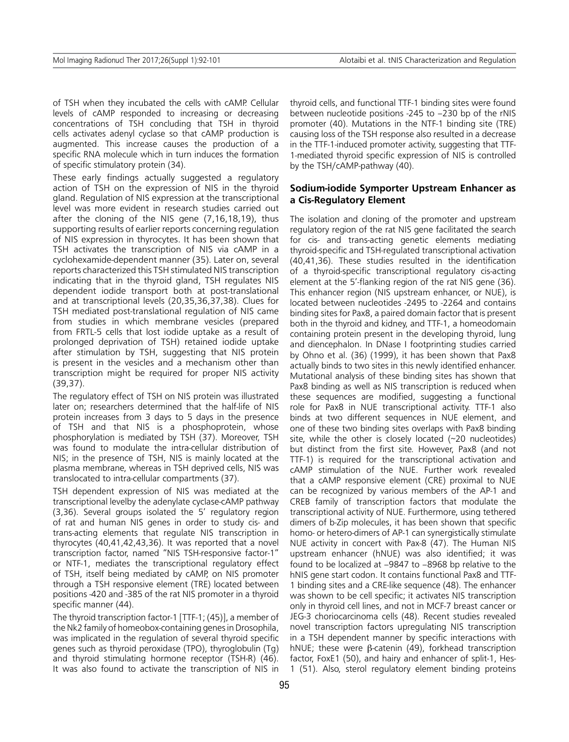of TSH when they incubated the cells with cAMP. Cellular levels of cAMP responded to increasing or decreasing concentrations of TSH concluding that TSH in thyroid cells activates adenyl cyclase so that cAMP production is augmented. This increase causes the production of a specific RNA molecule which in turn induces the formation of specific stimulatory protein (34).

These early findings actually suggested a regulatory action of TSH on the expression of NIS in the thyroid gland. Regulation of NIS expression at the transcriptional level was more evident in research studies carried out after the cloning of the NIS gene (7,16,18,19), thus supporting results of earlier reports concerning regulation of NIS expression in thyrocytes. It has been shown that TSH activates the transcription of NIS via cAMP in a cyclohexamide-dependent manner (35). Later on, several reports characterized this TSH stimulated NIS transcription indicating that in the thyroid gland, TSH regulates NIS dependent iodide transport both at post-translational and at transcriptional levels (20,35,36,37,38). Clues for TSH mediated post-translational regulation of NIS came from studies in which membrane vesicles (prepared from FRTL-5 cells that lost iodide uptake as a result of prolonged deprivation of TSH) retained iodide uptake after stimulation by TSH, suggesting that NIS protein is present in the vesicles and a mechanism other than transcription might be required for proper NIS activity (39,37).

The regulatory effect of TSH on NIS protein was illustrated later on; researchers determined that the half-life of NIS protein increases from 3 days to 5 days in the presence of TSH and that NIS is a phosphoprotein, whose phosphorylation is mediated by TSH (37). Moreover, TSH was found to modulate the intra-cellular distribution of NIS; in the presence of TSH, NIS is mainly located at the plasma membrane, whereas in TSH deprived cells, NIS was translocated to intra-cellular compartments (37).

TSH dependent expression of NIS was mediated at the transcriptional levelby the adenylate cyclase-cAMP pathway (3,36). Several groups isolated the 5' regulatory region of rat and human NIS genes in order to study cis- and trans-acting elements that regulate NIS transcription in thyrocytes (40,41,42,43,36). It was reported that a novel transcription factor, named "NIS TSH-responsive factor-1" or NTF-1, mediates the transcriptional regulatory effect of TSH, itself being mediated by cAMP, on NIS promoter through a TSH responsive element (TRE) located between positions -420 and -385 of the rat NIS promoter in a thyroid specific manner (44).

The thyroid transcription factor-1 [TTF-1; (45)], a member of the Nk2 family of homeobox-containing genes in Drosophila, was implicated in the regulation of several thyroid specific genes such as thyroid peroxidase (TPO), thyroglobulin (Tg) and thyroid stimulating hormone receptor (TSH-R) (46). It was also found to activate the transcription of NIS in thyroid cells, and functional TTF-1 binding sites were found between nucleotide positions -245 to –230 bp of the rNIS promoter (40). Mutations in the NTF-1 binding site (TRE) causing loss of the TSH response also resulted in a decrease in the TTF-1-induced promoter activity, suggesting that TTF-1-mediated thyroid specific expression of NIS is controlled by the TSH/cAMP-pathway (40).

## **Sodium-iodide Symporter Upstream Enhancer as a Cis-Regulatory Element**

The isolation and cloning of the promoter and upstream regulatory region of the rat NIS gene facilitated the search for cis- and trans-acting genetic elements mediating thyroid-specific and TSH-regulated transcriptional activation (40,41,36). These studies resulted in the identification of a thyroid-specific transcriptional regulatory cis-acting element at the 5'-flanking region of the rat NIS gene (36). This enhancer region (NIS upstream enhancer, or NUE), is located between nucleotides -2495 to -2264 and contains binding sites for Pax8, a paired domain factor that is present both in the thyroid and kidney, and TTF-1, a homeodomain containing protein present in the developing thyroid, lung and diencephalon. In DNase I footprinting studies carried by Ohno et al. (36) (1999), it has been shown that Pax8 actually binds to two sites in this newly identified enhancer. Mutational analysis of these binding sites has shown that Pax8 binding as well as NIS transcription is reduced when these sequences are modified, suggesting a functional role for Pax8 in NUE transcriptional activity. TTF-1 also binds at two different sequences in NUE element, and one of these two binding sites overlaps with Pax8 binding site, while the other is closely located (~20 nucleotides) but distinct from the first site. However, Pax8 (and not TTF-1) is required for the transcriptional activation and cAMP stimulation of the NUE. Further work revealed that a cAMP responsive element (CRE) proximal to NUE can be recognized by various members of the AP-1 and CREB family of transcription factors that modulate the transcriptional activity of NUE. Furthermore, using tethered dimers of b-Zip molecules, it has been shown that specific homo- or hetero-dimers of AP-1 can synergistically stimulate NUE activity in concert with Pax-8 (47). The Human NIS upstream enhancer (hNUE) was also identified; it was found to be localized at –9847 to –8968 bp relative to the hNIS gene start codon. It contains functional Pax8 and TTF-1 binding sites and a CRE-like sequence (48). The enhancer was shown to be cell specific; it activates NIS transcription only in thyroid cell lines, and not in MCF-7 breast cancer or JEG-3 choriocarcinoma cells (48). Recent studies revealed novel transcription factors upregulating NIS transcription in a TSH dependent manner by specific interactions with hNUE; these were β-catenin (49), forkhead transcription factor, FoxE1 (50), and hairy and enhancer of split-1, Hes-1 (51). Also, sterol regulatory element binding proteins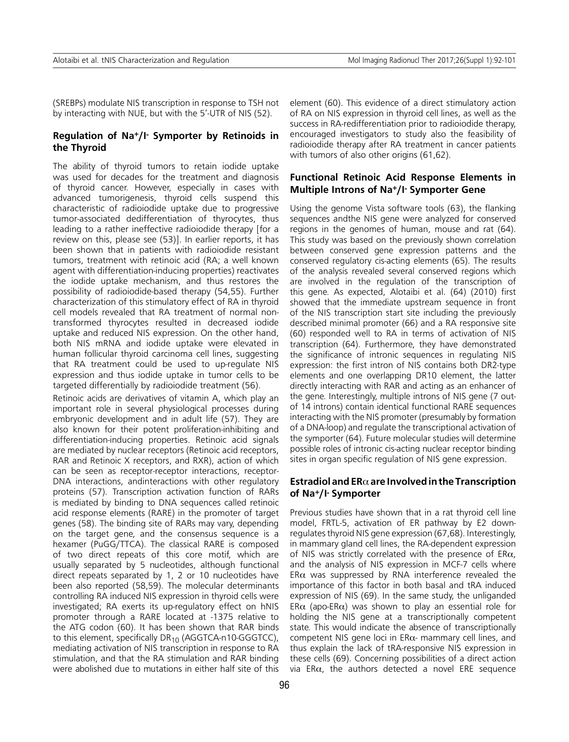(SREBPs) modulate NIS transcription in response to TSH not by interacting with NUE, but with the 5'-UTR of NIS (52).

## **Regulation of Na+/I- Symporter by Retinoids in the Thyroid**

The ability of thyroid tumors to retain iodide uptake was used for decades for the treatment and diagnosis of thyroid cancer. However, especially in cases with advanced tumorigenesis, thyroid cells suspend this characteristic of radioiodide uptake due to progressive tumor-associated dedifferentiation of thyrocytes, thus leading to a rather ineffective radioiodide therapy [for a review on this, please see (53)]. In earlier reports, it has been shown that in patients with radioiodide resistant tumors, treatment with retinoic acid (RA; a well known agent with differentiation-inducing properties) reactivates the iodide uptake mechanism, and thus restores the possibility of radioiodide-based therapy (54,55). Further characterization of this stimulatory effect of RA in thyroid cell models revealed that RA treatment of normal nontransformed thyrocytes resulted in decreased iodide uptake and reduced NIS expression. On the other hand, both NIS mRNA and iodide uptake were elevated in human follicular thyroid carcinoma cell lines, suggesting that RA treatment could be used to up-regulate NIS expression and thus iodide uptake in tumor cells to be targeted differentially by radioiodide treatment (56).

Retinoic acids are derivatives of vitamin A, which play an important role in several physiological processes during embryonic development and in adult life (57). They are also known for their potent proliferation-inhibiting and differentiation-inducing properties. Retinoic acid signals are mediated by nuclear receptors (Retinoic acid receptors, RAR and Retinoic X receptors, and RXR), action of which can be seen as receptor-receptor interactions, receptor-DNA interactions, andinteractions with other regulatory proteins (57). Transcription activation function of RARs is mediated by binding to DNA sequences called retinoic acid response elements (RARE) in the promoter of target genes (58). The binding site of RARs may vary, depending on the target gene, and the consensus sequence is a hexamer (PuGG/TTCA). The classical RARE is composed of two direct repeats of this core motif, which are usually separated by 5 nucleotides, although functional direct repeats separated by 1, 2 or 10 nucleotides have been also reported (58,59). The molecular determinants controlling RA induced NIS expression in thyroid cells were investigated; RA exerts its up-regulatory effect on hNIS promoter through a RARE located at -1375 relative to the ATG codon (60). It has been shown that RAR binds to this element, specifically  $DR_{10}$  (AGGTCA-n10-GGGTCC), mediating activation of NIS transcription in response to RA stimulation, and that the RA stimulation and RAR binding were abolished due to mutations in either half site of this

element (60). This evidence of a direct stimulatory action of RA on NIS expression in thyroid cell lines, as well as the success in RA-redifferentiation prior to radioiodide therapy, encouraged investigators to study also the feasibility of radioiodide therapy after RA treatment in cancer patients with tumors of also other origins (61,62).

## **Functional Retinoic Acid Response Elements in Multiple Introns of Na+/I- Symporter Gene**

Using the genome Vista software tools (63), the flanking sequences andthe NIS gene were analyzed for conserved regions in the genomes of human, mouse and rat (64). This study was based on the previously shown correlation between conserved gene expression patterns and the conserved regulatory cis-acting elements (65). The results of the analysis revealed several conserved regions which are involved in the regulation of the transcription of this gene. As expected, Alotaibi et al. (64) (2010) first showed that the immediate upstream sequence in front of the NIS transcription start site including the previously described minimal promoter (66) and a RA responsive site (60) responded well to RA in terms of activation of NIS transcription (64). Furthermore, they have demonstrated the significance of intronic sequences in regulating NIS expression: the first intron of NIS contains both DR2-type elements and one overlapping DR10 element, the latter directly interacting with RAR and acting as an enhancer of the gene. Interestingly, multiple introns of NIS gene (7 outof 14 introns) contain identical functional RARE sequences interacting with the NIS promoter (presumably by formation of a DNA-loop) and regulate the transcriptional activation of the symporter (64). Future molecular studies will determine possible roles of intronic cis-acting nuclear receptor binding sites in organ specific regulation of NIS gene expression.

#### **Estradiol and ER**α **are Involved in the Transcription of Na+/I- Symporter**

Previous studies have shown that in a rat thyroid cell line model, FRTL-5, activation of ER pathway by E2 downregulates thyroid NIS gene expression (67,68). Interestingly, in mammary gland cell lines, the RA-dependent expression of NIS was strictly correlated with the presence of ER $\alpha$ , and the analysis of NIS expression in MCF-7 cells where ER $\alpha$  was suppressed by RNA interference revealed the importance of this factor in both basal and tRA induced expression of NIS (69). In the same study, the unliganded ER $\alpha$  (apo-ER $\alpha$ ) was shown to play an essential role for holding the NIS gene at a transcriptionally competent state. This would indicate the absence of transcriptionally competent NIS gene loci in  $ER\alpha$ - mammary cell lines, and thus explain the lack of tRA-responsive NIS expression in these cells (69). Concerning possibilities of a direct action via ERα, the authors detected a novel ERE sequence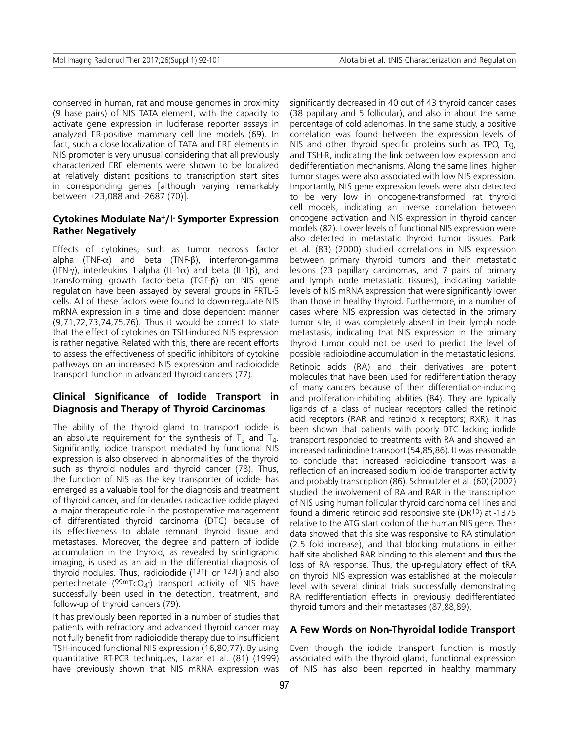conserved in human, rat and mouse genomes in proximity (9 base pairs) of NIS TATA element, with the capacity to activate gene expression in luciferase reporter assays in analyzed ER-positive mammary cell line models (69). In fact, such a close localization of TATA and ERE elements in NIS promoter is very unusual considering that all previously characterized ERE elements were shown to be localized at relatively distant positions to transcription start sites in corresponding genes [although varying remarkably between +23,088 and -2687 (70)].

## **Cytokines Modulate Na+/I- Symporter Expression Rather Negatively**

Effects of cytokines, such as tumor necrosis factor alpha (TNF- $\alpha$ ) and beta (TNF-β), interferon-gamma (IFN-γ), interleukins 1-alpha (IL-1 $\alpha$ ) and beta (IL-1 $\beta$ ), and transforming growth factor-beta (TGF-β) on NIS gene regulation have been assayed by several groups in FRTL-5 cells. All of these factors were found to down-regulate NIS mRNA expression in a time and dose dependent manner (9,71,72,73,74,75,76). Thus it would be correct to state that the effect of cytokines on TSH-induced NIS expression is rather negative. Related with this, there are recent efforts to assess the effectiveness of specific inhibitors of cytokine pathways on an increased NIS expression and radioiodide transport function in advanced thyroid cancers (77).

## **Clinical Significance of Iodide Transport in Diagnosis and Therapy of Thyroid Carcinomas**

The ability of the thyroid gland to transport iodide is an absolute requirement for the synthesis of  $T_3$  and  $T_4$ . Significantly, iodide transport mediated by functional NIS expression is also observed in abnormalities of the thyroid such as thyroid nodules and thyroid cancer (78). Thus, the function of NIS -as the key transporter of iodide- has emerged as a valuable tool for the diagnosis and treatment of thyroid cancer, and for decades radioactive iodide played a major therapeutic role in the postoperative management of differentiated thyroid carcinoma (DTC) because of its effectiveness to ablate remnant thyroid tissue and metastases. Moreover, the degree and pattern of iodide accumulation in the thyroid, as revealed by scintigraphic imaging, is used as an aid in the differential diagnosis of thyroid nodules. Thus, radioiodide (131I- or 123I- ) and also pertechnetate (<sup>99m</sup>TcO<sub>4</sub>-) transport activity of NIS have successfully been used in the detection, treatment, and follow-up of thyroid cancers (79).

It has previously been reported in a number of studies that patients with refractory and advanced thyroid cancer may not fully benefit from radioiodide therapy due to insufficient TSH-induced functional NIS expression (16,80,77). By using quantitative RT-PCR techniques, Lazar et al. (81) (1999) have previously shown that NIS mRNA expression was significantly decreased in 40 out of 43 thyroid cancer cases (38 papillary and 5 follicular), and also in about the same percentage of cold adenomas. In the same study, a positive correlation was found between the expression levels of NIS and other thyroid specific proteins such as TPO, Tg, and TSH-R, indicating the link between low expression and dedifferentiation mechanisms. Along the same lines, higher tumor stages were also associated with low NIS expression. Importantly, NIS gene expression levels were also detected to be very low in oncogene-transformed rat thyroid cell models, indicating an inverse correlation between oncogene activation and NIS expression in thyroid cancer models (82). Lower levels of functional NIS expression were also detected in metastatic thyroid tumor tissues. Park et al. (83) (2000) studied correlations in NIS expression between primary thyroid tumors and their metastatic lesions (23 papillary carcinomas, and 7 pairs of primary and lymph node metastatic tissues), indicating variable levels of NIS mRNA expression that were significantly lower than those in healthy thyroid. Furthermore, in a number of cases where NIS expression was detected in the primary tumor site, it was completely absent in their lymph node metastasis, indicating that NIS expression in the primary thyroid tumor could not be used to predict the level of possible radioiodine accumulation in the metastatic lesions.

Retinoic acids (RA) and their derivatives are potent molecules that have been used for redifferentiation therapy of many cancers because of their differentiation-inducing and proliferation-inhibiting abilities (84). They are typically ligands of a class of nuclear receptors called the retinoic acid receptors (RAR and retinoid x receptors; RXR). It has been shown that patients with poorly DTC lacking iodide transport responded to treatments with RA and showed an increased radioiodine transport (54,85,86). It was reasonable to conclude that increased radioiodine transport was a reflection of an increased sodium iodide transporter activity and probably transcription (86). Schmutzler et al. (60) (2002) studied the involvement of RA and RAR in the transcription of NIS using human follicular thyroid carcinoma cell lines and found a dimeric retinoic acid responsive site (DR10) at -1375 relative to the ATG start codon of the human NIS gene. Their data showed that this site was responsive to RA stimulation (2.5 fold increase), and that blocking mutations in either half site abolished RAR binding to this element and thus the loss of RA response. Thus, the up-regulatory effect of tRA on thyroid NIS expression was established at the molecular level with several clinical trials successfully demonstrating RA redifferentiation effects in previously dedifferentiated thyroid tumors and their metastases (87,88,89).

### **A Few Words on Non-Thyroidal Iodide Transport**

Even though the iodide transport function is mostly associated with the thyroid gland, functional expression of NIS has also been reported in healthy mammary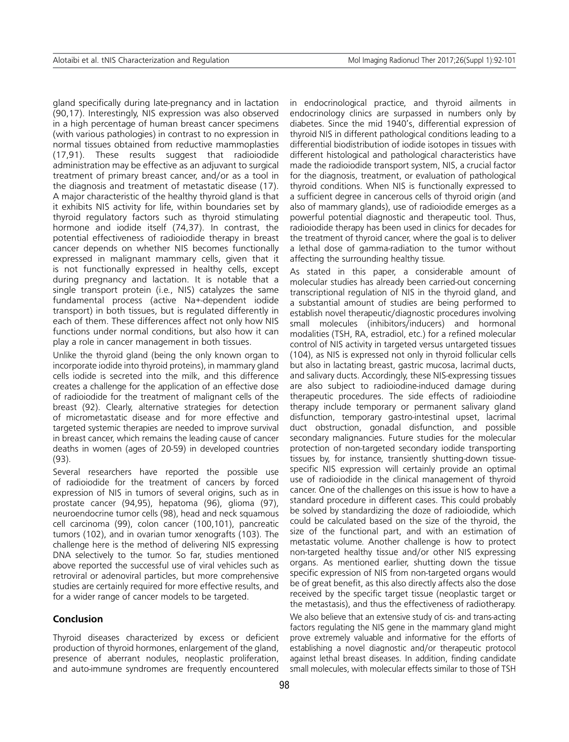gland specifically during late-pregnancy and in lactation (90,17). Interestingly, NIS expression was also observed in a high percentage of human breast cancer specimens (with various pathologies) in contrast to no expression in normal tissues obtained from reductive mammoplasties (17,91). These results suggest that radioiodide administration may be effective as an adjuvant to surgical treatment of primary breast cancer, and/or as a tool in the diagnosis and treatment of metastatic disease (17). A major characteristic of the healthy thyroid gland is that it exhibits NIS activity for life, within boundaries set by thyroid regulatory factors such as thyroid stimulating hormone and iodide itself (74,37). In contrast, the potential effectiveness of radioiodide therapy in breast cancer depends on whether NIS becomes functionally expressed in malignant mammary cells, given that it is not functionally expressed in healthy cells, except during pregnancy and lactation. It is notable that a single transport protein (i.e., NIS) catalyzes the same fundamental process (active Na+-dependent iodide transport) in both tissues, but is regulated differently in each of them. These differences affect not only how NIS functions under normal conditions, but also how it can play a role in cancer management in both tissues.

Unlike the thyroid gland (being the only known organ to incorporate iodide into thyroid proteins), in mammary gland cells iodide is secreted into the milk, and this difference creates a challenge for the application of an effective dose of radioiodide for the treatment of malignant cells of the breast (92). Clearly, alternative strategies for detection of micrometastatic disease and for more effective and targeted systemic therapies are needed to improve survival in breast cancer, which remains the leading cause of cancer deaths in women (ages of 20-59) in developed countries (93).

Several researchers have reported the possible use of radioiodide for the treatment of cancers by forced expression of NIS in tumors of several origins, such as in prostate cancer (94,95), hepatoma (96), glioma (97), neuroendocrine tumor cells (98), head and neck squamous cell carcinoma (99), colon cancer (100,101), pancreatic tumors (102), and in ovarian tumor xenografts (103). The challenge here is the method of delivering NIS expressing DNA selectively to the tumor. So far, studies mentioned above reported the successful use of viral vehicles such as retroviral or adenoviral particles, but more comprehensive studies are certainly required for more effective results, and for a wider range of cancer models to be targeted.

### **Conclusion**

Thyroid diseases characterized by excess or deficient production of thyroid hormones, enlargement of the gland, presence of aberrant nodules, neoplastic proliferation, and auto-immune syndromes are frequently encountered in endocrinological practice, and thyroid ailments in endocrinology clinics are surpassed in numbers only by diabetes. Since the mid 1940's, differential expression of thyroid NIS in different pathological conditions leading to a differential biodistribution of iodide isotopes in tissues with different histological and pathological characteristics have made the radioiodide transport system, NIS, a crucial factor for the diagnosis, treatment, or evaluation of pathological thyroid conditions. When NIS is functionally expressed to a sufficient degree in cancerous cells of thyroid origin (and also of mammary glands), use of radioiodide emerges as a powerful potential diagnostic and therapeutic tool. Thus, radioiodide therapy has been used in clinics for decades for the treatment of thyroid cancer, where the goal is to deliver a lethal dose of gamma-radiation to the tumor without affecting the surrounding healthy tissue.

As stated in this paper, a considerable amount of molecular studies has already been carried-out concerning transcriptional regulation of NIS in the thyroid gland, and a substantial amount of studies are being performed to establish novel therapeutic/diagnostic procedures involving small molecules (inhibitors/inducers) and hormonal modalities (TSH, RA, estradiol, etc.) for a refined molecular control of NIS activity in targeted versus untargeted tissues (104), as NIS is expressed not only in thyroid follicular cells but also in lactating breast, gastric mucosa, lacrimal ducts, and salivary ducts. Accordingly, these NIS-expressing tissues are also subject to radioiodine-induced damage during therapeutic procedures. The side effects of radioiodine therapy include temporary or permanent salivary gland disfunction, temporary gastro-intestinal upset, lacrimal duct obstruction, gonadal disfunction, and possible secondary malignancies. Future studies for the molecular protection of non-targeted secondary iodide transporting tissues by, for instance, transiently shutting-down tissuespecific NIS expression will certainly provide an optimal use of radioiodide in the clinical management of thyroid cancer. One of the challenges on this issue is how to have a standard procedure in different cases. This could probably be solved by standardizing the doze of radioiodide, which could be calculated based on the size of the thyroid, the size of the functional part, and with an estimation of metastatic volume. Another challenge is how to protect non-targeted healthy tissue and/or other NIS expressing organs. As mentioned earlier, shutting down the tissue specific expression of NIS from non-targeted organs would be of great benefit, as this also directly affects also the dose received by the specific target tissue (neoplastic target or the metastasis), and thus the effectiveness of radiotherapy. We also believe that an extensive study of cis- and trans-acting factors regulating the NIS gene in the mammary gland might prove extremely valuable and informative for the efforts of establishing a novel diagnostic and/or therapeutic protocol against lethal breast diseases. In addition, finding candidate small molecules, with molecular effects similar to those of TSH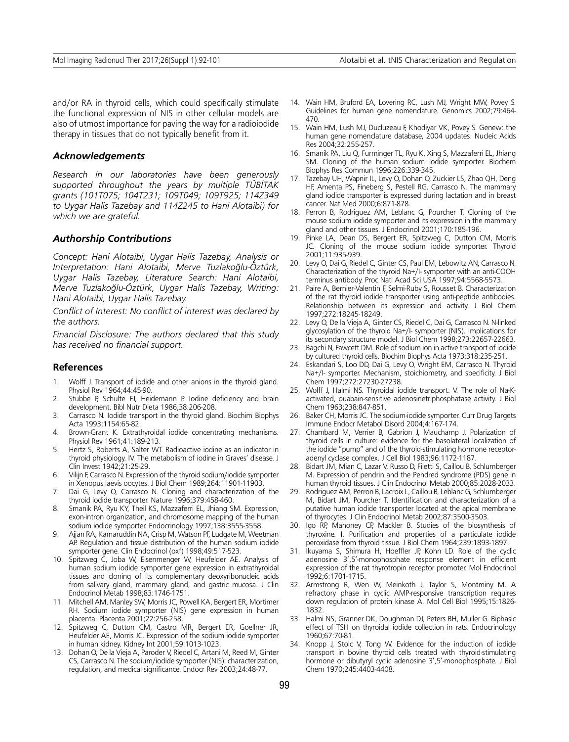and/or RA in thyroid cells, which could specifically stimulate the functional expression of NIS in other cellular models are also of utmost importance for paving the way for a radioiodide therapy in tissues that do not typically benefit from it.

#### *Acknowledgements*

*Research in our laboratories have been generously supported throughout the years by multiple TÜBİTAK grants (101T075; 104T231; 109T049; 109T925; 114Z349 to Uygar Halis Tazebay and 114Z245 to Hani Alotaibi) for which we are grateful.*

#### *Authorship Contributions*

*Concept: Hani Alotaibi, Uygar Halis Tazebay, Analysis or Interpretation: Hani Alotaibi, Merve Tuzlakoğlu-Öztürk, Uygar Halis Tazebay, Literature Search: Hani Alotaibi, Merve Tuzlakoğlu-Öztürk, Uygar Halis Tazebay, Writing: Hani Alotaibi, Uygar Halis Tazebay.*

*Conflict of Interest: No conflict of interest was declared by the authors.*

*Financial Disclosure: The authors declared that this study has received no financial support.*

#### **References**

- 1. Wolff J. Transport of iodide and other anions in the thyroid gland. Physiol Rev 1964;44:45-90.
- 2. Stubbe P, Schulte FJ, Heidemann P. Iodine deficiency and brain development. Bibl Nutr Dieta 1986;38:206-208.
- 3. Carrasco N. Iodide transport in the thyroid gland. Biochim Biophys Acta 1993;1154:65-82.
- Brown-Grant K. Extrathyroidal iodide concentrating mechanisms. Physiol Rev 1961;41:189-213.
- 5. Hertz S, Roberts A, Salter WT. Radioactive iodine as an indicator in thyroid physiology. IV. The metabolism of iodine in Graves' disease. J Clin Invest 1942;21:25-29.
- 6. Vilijn F, Carrasco N. Expression of the thyroid sodium/iodide symporter in Xenopus laevis oocytes. J Biol Chem 1989;264:11901-11903.
- Dai G, Levy O, Carrasco N. Cloning and characterization of the thyroid iodide transporter. Nature 1996;379:458-460.
- 8. Smanik PA, Ryu KY, Theil KS, Mazzaferri EL, Jhiang SM. Expression, exon-intron organization, and chromosome mapping of the human sodium iodide symporter. Endocrinology 1997;138:3555-3558.
- Ajjan RA, Kamaruddin NA, Crisp M, Watson PF, Ludgate M, Weetman AP. Regulation and tissue distribution of the human sodium iodide symporter gene. Clin Endocrinol (oxf) 1998;49:517-523.
- 10. Spitzweg C, Joba W, Eisenmenger W, Heufelder AE. Analysis of human sodium iodide symporter gene expression in extrathyroidal tissues and cloning of its complementary deoxyribonucleic acids from salivary gland, mammary gland, and gastric mucosa. J Clin Endocrinol Metab 1998;83:1746-1751.
- 11. Mitchell AM, Manley SW, Morris JC, Powell KA, Bergert ER, Mortimer RH. Sodium iodide symporter (NIS) gene expression in human placenta. Placenta 2001;22:256-258.
- 12. Spitzweg C, Dutton CM, Castro MR, Bergert ER, Goellner JR, Heufelder AE, Morris JC. Expression of the sodium iodide symporter in human kidney. Kidney Int 2001;59:1013-1023.
- 13. Dohan O, De la Vieja A, Paroder V, Riedel C, Artani M, Reed M, Ginter CS, Carrasco N. The sodium/iodide symporter (NIS): characterization, regulation, and medical significance. Endocr Rev 2003;24:48-77.
- 14. Wain HM, Bruford EA, Lovering RC, Lush MJ, Wright MW, Povey S. Guidelines for human gene nomenclature. Genomics 2002;79:464- 470.
- 15. Wain HM, Lush MJ, Ducluzeau F, Khodiyar VK, Povey S. Genew: the human gene nomenclature database, 2004 updates. Nucleic Acids Res 2004;32:255-257.
- 16. Smanik PA, Liu Q, Furminger TL, Ryu K, Xing S, Mazzaferri EL, Jhiang SM. Cloning of the human sodium lodide symporter. Biochem Biophys Res Commun 1996;226:339-345.
- 17. Tazebay UH, Wapnir IL, Levy O, Dohan O, Zuckier LS, Zhao QH, Deng HF, Amenta PS, Fineberg S, Pestell RG, Carrasco N. The mammary gland iodide transporter is expressed during lactation and in breast cancer. Nat Med 2000;6:871-878.
- 18. Perron B, Rodriguez AM, Leblanc G, Pourcher T. Cloning of the mouse sodium iodide symporter and its expression in the mammary gland and other tissues. J Endocrinol 2001;170:185-196.
- 19. Pinke LA, Dean DS, Bergert ER, Spitzweg C, Dutton CM, Morris JC. Cloning of the mouse sodium iodide symporter. Thyroid 2001;11:935-939.
- 20. Levy O, Dai G, Riedel C, Ginter CS, Paul EM, Lebowitz AN, Carrasco N. Characterization of the thyroid Na+/I- symporter with an anti-COOH terminus antibody. Proc Natl Acad Sci USA 1997;94:5568-5573.
- 21. Paire A, Bernier-Valentin F, Selmi-Ruby S, Rousset B. Characterization of the rat thyroid iodide transporter using anti-peptide antibodies. Relationship between its expression and activity. J Biol Chem 1997;272:18245-18249.
- 22. Levy O, De la Vieja A, Ginter CS, Riedel C, Dai G, Carrasco N. N-linked glycosylation of the thyroid Na+/I- symporter (NIS). Implications for its secondary structure model. J Biol Chem 1998;273:22657-22663.
- 23. Bagchi N, Fawcett DM. Role of sodium ion in active transport of iodide by cultured thyroid cells. Biochim Biophys Acta 1973;318:235-251.
- 24. Eskandari S, Loo DD, Dai G, Levy O, Wright EM, Carrasco N. Thyroid Na+/I- symporter. Mechanism, stoichiometry, and specificity. J Biol Chem 1997;272:27230-27238.
- 25. Wolff J, Halmi NS. Thyroidal iodide transport. V. The role of Na-Kactivated, ouabain-sensitive adenosinetriphosphatase activity. J Biol Chem 1963;238:847-851.
- 26. Baker CH, Morris JC. The sodium-iodide symporter. Curr Drug Targets Immune Endocr Metabol Disord 2004;4:167-174.
- 27. Chambard M, Verrier B, Gabrion J, Mauchamp J. Polarization of thyroid cells in culture: evidence for the basolateral localization of the iodide "pump" and of the thyroid-stimulating hormone receptoradenyl cyclase complex. J Cell Biol 1983;96:1172-1187.
- 28. Bidart JM, Mian C, Lazar V, Russo D, Filetti S, Caillou B, Schlumberger M. Expression of pendrin and the Pendred syndrome (PDS) gene in human thyroid tissues. J Clin Endocrinol Metab 2000;85:2028-2033.
- 29. Rodriguez AM, Perron B, Lacroix L, Caillou B, Leblanc G, Schlumberger M, Bidart JM, Pourcher T. Identification and characterization of a putative human iodide transporter located at the apical membrane of thyrocytes. J Clin Endocrinol Metab 2002;87:3500-3503.
- 30. Igo RP, Mahoney CP, Mackler B. Studies of the biosynthesis of thyroxine. I. Purification and properties of a particulate iodide peroxidase from thyroid tissue. J Biol Chem 1964;239:1893-1897.
- 31. Ikuyama S, Shimura H, Hoeffler JP, Kohn LD. Role of the cyclic adenosine 3',5'-monophosphate response element in efficient expression of the rat thyrotropin receptor promoter. Mol Endocrinol 1992;6:1701-1715.
- 32. Armstrong R, Wen W, Meinkoth J, Taylor S, Montminy M. A refractory phase in cyclic AMP-responsive transcription requires down regulation of protein kinase A. Mol Cell Biol 1995;15:1826- 1832.
- 33. Halmi NS, Granner DK, Doughman DJ, Peters BH, Muller G. Biphasic effect of TSH on thyroidal iodide collection in rats. Endocrinology 1960;67:70-81.
- 34. Knopp J, Stolc V, Tong W. Evidence for the induction of iodide transport in bovine thyroid cells treated with thyroid-stimulating hormone or dibutyryl cyclic adenosine 3',5'-monophosphate. J Biol Chem 1970;245:4403-4408.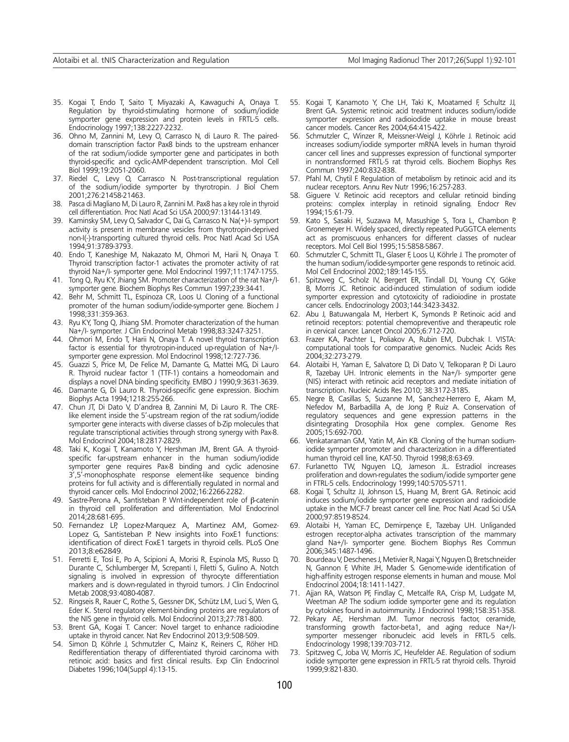- 35. Kogai T, Endo T, Saito T, Miyazaki A, Kawaguchi A, Onaya T. Regulation by thyroid-stimulating hormone of sodium/iodide symporter gene expression and protein levels in FRTL-5 cells. Endocrinology 1997;138:2227-2232.
- 36. Ohno M, Zannini M, Levy O, Carrasco N, di Lauro R. The paireddomain transcription factor Pax8 binds to the upstream enhancer of the rat sodium/iodide symporter gene and participates in both thyroid-specific and cyclic-AMP-dependent transcription. Mol Cell Biol 1999;19:2051-2060.
- 37. Riedel C, Levy O, Carrasco N. Post-transcriptional regulation of the sodium/iodide symporter by thyrotropin. J Biol Chem 2001;276:21458-21463.
- 38. Pasca di Magliano M, Di Lauro R, Zannini M. Pax8 has a key role in thyroid cell differentiation. Proc Natl Acad Sci USA 2000;97:13144-13149.
- 39. Kaminsky SM, Levy O, Salvador C, Dai G, Carrasco N. Na(+)-I- symport activity is present in membrane vesicles from thyrotropin-deprived non-I(-)-transporting cultured thyroid cells. Proc Natl Acad Sci USA 1994;91:3789-3793.
- 40. Endo T, Kaneshige M, Nakazato M, Ohmori M, Harii N, Onaya T. Thyroid transcription factor-1 activates the promoter activity of rat thyroid Na+/I- symporter gene. Mol Endocrinol 1997;11:1747-1755.
- 41. Tong Q, Ryu KY, Jhiang SM. Promoter characterization of the rat Na+/Isymporter gene. Biochem Biophys Res Commun 1997;239:34-41.
- 42. Behr M, Schmitt TL, Espinoza CR, Loos U. Cloning of a functional promoter of the human sodium/iodide-symporter gene. Biochem J 1998;331:359-363.
- 43. Ryu KY, Tong Q, Jhiang SM. Promoter characterization of the human Na+/I- symporter. J Clin Endocrinol Metab 1998;83:3247-3251.
- 44. Ohmori M, Endo T, Harii N, Onaya T. A novel thyroid transcription factor is essential for thyrotropin-induced up-regulation of Na+/Isymporter gene expression. Mol Endocrinol 1998;12:727-736.
- 45. Guazzi S, Price M, De Felice M, Damante G, Mattei MG, Di Lauro R. Thyroid nuclear factor 1 (TTF-1) contains a homeodomain and displays a novel DNA binding specificity. EMBO J 1990;9:3631-3639.
- 46. Damante G, Di Lauro R. Thyroid-specific gene expression. Biochim Biophys Acta 1994;1218:255-266.
- 47. Chun JT, Di Dato V, D'andrea B, Zannini M, Di Lauro R. The CRElike element inside the 5'-upstream region of the rat sodium/iodide symporter gene interacts with diverse classes of b-Zip molecules that regulate transcriptional activities through strong synergy with Pax-8. Mol Endocrinol 2004;18:2817-2829.
- 48. Taki K, Kogai T, Kanamoto Y, Hershman JM, Brent GA. A thyroidspecific far-upstream enhancer in the human sodium/iodide symporter gene requires Pax-8 binding and cyclic adenosine 3',5'-monophosphate response element-like sequence binding proteins for full activity and is differentially regulated in normal and thyroid cancer cells. Mol Endocrinol 2002;16:2266-2282.
- 49. Sastre-Perona A, Santisteban P. Wnt-independent role of β-catenin in thyroid cell proliferation and differentiation. Mol Endocrinol 2014;28:681-695.
- 50. Fernandez LP, Lopez-Marquez A, Martinez AM, Gomez-Lopez G, Santisteban P. New insights into FoxE1 functions: identification of direct FoxE1 targets in thyroid cells. PLoS One 2013;8:e62849.
- 51. Ferretti E, Tosi E, Po A, Scipioni A, Morisi R, Espinola MS, Russo D, Durante C, Schlumberger M, Screpanti I, Filetti S, Gulino A. Notch signaling is involved in expression of thyrocyte differentiation markers and is down-regulated in thyroid tumors. J Clin Endocrinol Metab 2008;93:4080-4087.
- 52. Ringseis R, Rauer C, Rothe S, Gessner DK, Schütz LM, Luci S, Wen G, Eder K. Sterol regulatory element-binding proteins are regulators of the NIS gene in thyroid cells. Mol Endocrinol 2013;27:781-800.
- 53. Brent GA, Kogai T. Cancer: Novel target to enhance radioiodine uptake in thyroid cancer. Nat Rev Endocrinol 2013;9:508-509.
- 54. Simon D, Köhrle J, Schmutzler C, Mainz K, Reiners C, Röher HD. Redifferentiation therapy of differentiated thyroid carcinoma with retinoic acid: basics and first clinical results. Exp Clin Endocrinol Diabetes 1996;104(Suppl 4):13-15.
- 55. Kogai T, Kanamoto Y, Che LH, Taki K, Moatamed F, Schultz JJ, Brent GA. Systemic retinoic acid treatment induces sodium/iodide symporter expression and radioiodide uptake in mouse breast cancer models. Cancer Res 2004;64:415-422.
- 56. Schmutzler C, Winzer R, Meissner-Weigl J, Köhrle J. Retinoic acid increases sodium/iodide symporter mRNA levels in human thyroid cancer cell lines and suppresses expression of functional symporter in nontransformed FRTL-5 rat thyroid cells. Biochem Biophys Res Commun 1997;240:832-838.
- 57. Pfahl M, Chytil F. Regulation of metabolism by retinoic acid and its nuclear receptors. Annu Rev Nutr 1996;16:257-283.
- 58. Giguere V. Retinoic acid receptors and cellular retinoid binding proteins: complex interplay in retinoid signaling. Endocr Rev 1994;15:61-79.
- 59. Kato S, Sasaki H, Suzawa M, Masushige S, Tora L, Chambon P, Gronemeyer H. Widely spaced, directly repeated PuGGTCA elements act as promiscuous enhancers for different classes of nuclear receptors. Mol Cell Biol 1995;15:5858-5867.
- Schmutzler C, Schmitt TL, Glaser F, Loos U, Köhrle J. The promoter of the human sodium/iodide-symporter gene responds to retinoic acid. Mol Cell Endocrinol 2002;189:145-155.
- 61. Spitzweg C, Scholz IV, Bergert ER, Tindall DJ, Young CY, Göke B, Morris JC. Retinoic acid-induced stimulation of sodium iodide symporter expression and cytotoxicity of radioiodine in prostate cancer cells. Endocrinology 2003;144:3423-3432.
- 62. Abu J, Batuwangala M, Herbert K, Symonds P. Retinoic acid and retinoid receptors: potential chemopreventive and therapeutic role in cervical cancer. Lancet Oncol 2005;6:712-720.
- 63. Frazer KA, Pachter L, Poliakov A, Rubin EM, Dubchak I. VISTA: computational tools for comparative genomics. Nucleic Acids Res 2004;32:273-279.
- 64. Alotaibi H, Yaman E, Salvatore D, Di Dato V, Telkoparan P, Di Lauro R, Tazebay UH. Intronic elements in the Na+/I- symporter gene (NIS) interact with retinoic acid receptors and mediate initiation of transcription. Nucleic Acids Res 2010; 38:3172-3185.
- 65. Negre B, Casillas S, Suzanne M, Sanchez-Herrero E, Akam M, Nefedov M, Barbadilla A, de Jong P, Ruiz A. Conservation of regulatory sequences and gene expression patterns in the disintegrating Drosophila Hox gene complex. Genome Res 2005;15:692-700.
- 66. Venkataraman GM, Yatin M, Ain KB. Cloning of the human sodiumiodide symporter promoter and characterization in a differentiated human thyroid cell line, KAT-50. Thyroid 1998;8:63-69.
- 67. Furlanetto TW, Nguyen LQ, Jameson JL. Estradiol increases proliferation and down-regulates the sodium/iodide symporter gene in FTRL-5 cells. Endocrinology 1999;140:5705-5711.
- 68. Kogai T, Schultz JJ, Johnson LS, Huang M, Brent GA. Retinoic acid induces sodium/iodide symporter gene expression and radioiodide uptake in the MCF-7 breast cancer cell line. Proc Natl Acad Sci USA 2000;97:8519-8524.
- 69. Alotaibi H, Yaman EC, Demirpençe E, Tazebay UH. Unliganded estrogen receptor-alpha activates transcription of the mammary gland Na+/I- symporter gene. Biochem Biophys Res Commun 2006;345:1487-1496.
- 70. Bourdeau V, Deschenes J, Metivier R, Nagai Y, Nguyen D, Bretschneider N, Gannon F, White JH, Mader S. Genome-wide identification of high-affinity estrogen response elements in human and mouse. Mol Endocrinol 2004;18:1411-1427.
- 71. Ajjan RA, Watson PF, Findlay C, Metcalfe RA, Crisp M, Ludgate M, Weetman AP. The sodium iodide symporter gene and its regulation by cytokines found in autoimmunity. J Endocrinol 1998;158:351-358.
- 72. Pekary AE, Hershman JM. Tumor necrosis factor, ceramide, transforming growth factor-beta1, and aging reduce Na+/Isymporter messenger ribonucleic acid levels in FRTL-5 cells. Endocrinology 1998;139:703-712.
- 73. Spitzweg C, Joba W, Morris JC, Heufelder AE. Regulation of sodium iodide symporter gene expression in FRTL-5 rat thyroid cells. Thyroid 1999;9:821-830.